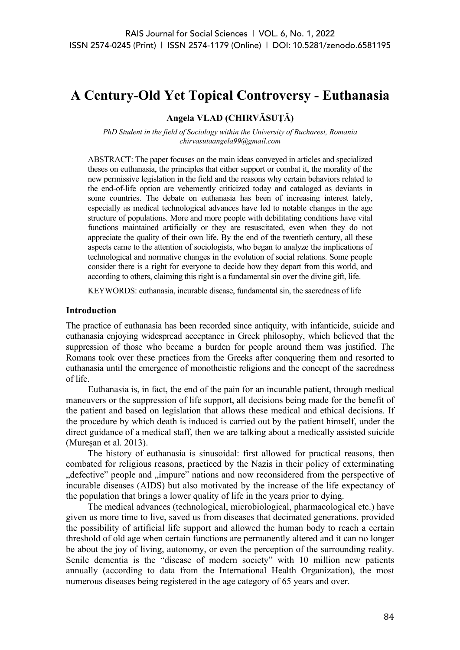# **A Century-Old Yet Topical Controversy - Euthanasia**

# **Angela VLAD (CHIRVĂSUȚĂ)**

*PhD Student in the field of Sociology within the University of Bucharest, Romania chirvasutaangela99@gmail.com*

ABSTRACT: The paper focuses on the main ideas conveyed in articles and specialized theses on euthanasia, the principles that either support or combat it, the morality of the new permissive legislation in the field and the reasons why certain behaviors related to the end-of-life option are vehemently criticized today and cataloged as deviants in some countries. The debate on euthanasia has been of increasing interest lately, especially as medical technological advances have led to notable changes in the age structure of populations. More and more people with debilitating conditions have vital functions maintained artificially or they are resuscitated, even when they do not appreciate the quality of their own life. By the end of the twentieth century, all these aspects came to the attention of sociologists, who began to analyze the implications of technological and normative changes in the evolution of social relations. Some people consider there is a right for everyone to decide how they depart from this world, and according to others, claiming this right is a fundamental sin over the divine gift, life.

KEYWORDS: euthanasia, incurable disease, fundamental sin, the sacredness of life

#### **Introduction**

The practice of euthanasia has been recorded since antiquity, with infanticide, suicide and euthanasia enjoying widespread acceptance in Greek philosophy, which believed that the suppression of those who became a burden for people around them was justified. The Romans took over these practices from the Greeks after conquering them and resorted to euthanasia until the emergence of monotheistic religions and the concept of the sacredness of life.

Euthanasia is, in fact, the end of the pain for an incurable patient, through medical maneuvers or the suppression of life support, all decisions being made for the benefit of the patient and based on legislation that allows these medical and ethical decisions. If the procedure by which death is induced is carried out by the patient himself, under the direct guidance of a medical staff, then we are talking about a medically assisted suicide (Mureșan et al. 2013).

The history of euthanasia is sinusoidal: first allowed for practical reasons, then combated for religious reasons, practiced by the Nazis in their policy of exterminating ..defective" people and ..impure" nations and now reconsidered from the perspective of incurable diseases (AIDS) but also motivated by the increase of the life expectancy of the population that brings a lower quality of life in the years prior to dying.

The medical advances (technological, microbiological, pharmacological etc.) have given us more time to live, saved us from diseases that decimated generations, provided the possibility of artificial life support and allowed the human body to reach a certain threshold of old age when certain functions are permanently altered and it can no longer be about the joy of living, autonomy, or even the perception of the surrounding reality. Senile dementia is the "disease of modern society" with 10 million new patients annually (according to data from the International Health Organization), the most numerous diseases being registered in the age category of 65 years and over.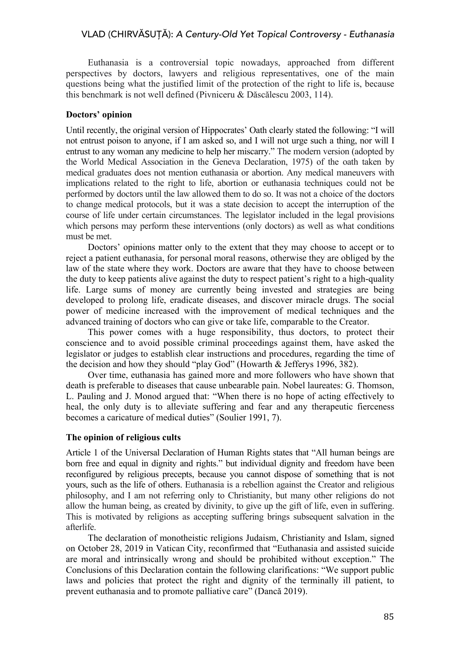# VLAD (CHIRVĂSUȚĂ): *A Century-Old Yet Topical Controversy - Euthanasia*

Euthanasia is a controversial topic nowadays, approached from different perspectives by doctors, lawyers and religious representatives, one of the main questions being what the justified limit of the protection of the right to life is, because this benchmark is not well defined (Pivniceru & Dăscălescu 2003, 114).

## **Doctors' opinion**

Until recently, the original version of Hippocrates' Oath clearly stated the following: "I will not entrust poison to anyone, if I am asked so, and I will not urge such a thing, nor will I entrust to any woman any medicine to help her miscarry." The modern version (adopted by the World Medical Association in the Geneva Declaration, 1975) of the oath taken by medical graduates does not mention euthanasia or abortion. Any medical maneuvers with implications related to the right to life, abortion or euthanasia techniques could not be performed by doctors until the law allowed them to do so. It was not a choice of the doctors to change medical protocols, but it was a state decision to accept the interruption of the course of life under certain circumstances. The legislator included in the legal provisions which persons may perform these interventions (only doctors) as well as what conditions must be met.

Doctors' opinions matter only to the extent that they may choose to accept or to reject a patient euthanasia, for personal moral reasons, otherwise they are obliged by the law of the state where they work. Doctors are aware that they have to choose between the duty to keep patients alive against the duty to respect patient's right to a high-quality life. Large sums of money are currently being invested and strategies are being developed to prolong life, eradicate diseases, and discover miracle drugs. The social power of medicine increased with the improvement of medical techniques and the advanced training of doctors who can give or take life, comparable to the Creator.

This power comes with a huge responsibility, thus doctors, to protect their conscience and to avoid possible criminal proceedings against them, have asked the legislator or judges to establish clear instructions and procedures, regarding the time of the decision and how they should "play God" (Howarth & Jefferys 1996, 382).

Over time, euthanasia has gained more and more followers who have shown that death is preferable to diseases that cause unbearable pain. Nobel laureates: G. Thomson, L. Pauling and J. Monod argued that: "When there is no hope of acting effectively to heal, the only duty is to alleviate suffering and fear and any therapeutic fierceness becomes a caricature of medical duties" (Soulier 1991, 7).

### **The opinion of religious cults**

Article 1 of the Universal Declaration of Human Rights states that "All human beings are born free and equal in dignity and rights." but individual dignity and freedom have been reconfigured by religious precepts, because you cannot dispose of something that is not yours, such as the life of others. Euthanasia is a rebellion against the Creator and religious philosophy, and I am not referring only to Christianity, but many other religions do not allow the human being, as created by divinity, to give up the gift of life, even in suffering. This is motivated by religions as accepting suffering brings subsequent salvation in the afterlife.

The declaration of monotheistic religions Judaism, Christianity and Islam, signed on October 28, 2019 in Vatican City, reconfirmed that "Euthanasia and assisted suicide are moral and intrinsically wrong and should be prohibited without exception." The Conclusions of this Declaration contain the following clarifications: "We support public laws and policies that protect the right and dignity of the terminally ill patient, to prevent euthanasia and to promote palliative care" (Dancă 2019).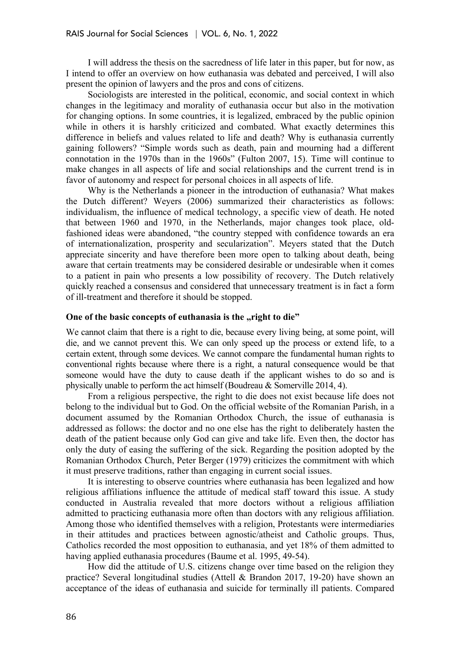I will address the thesis on the sacredness of life later in this paper, but for now, as I intend to offer an overview on how euthanasia was debated and perceived, I will also present the opinion of lawyers and the pros and cons of citizens.

Sociologists are interested in the political, economic, and social context in which changes in the legitimacy and morality of euthanasia occur but also in the motivation for changing options. In some countries, it is legalized, embraced by the public opinion while in others it is harshly criticized and combated. What exactly determines this difference in beliefs and values related to life and death? Why is euthanasia currently gaining followers? "Simple words such as death, pain and mourning had a different connotation in the 1970s than in the 1960s" (Fulton 2007, 15). Time will continue to make changes in all aspects of life and social relationships and the current trend is in favor of autonomy and respect for personal choices in all aspects of life.

Why is the Netherlands a pioneer in the introduction of euthanasia? What makes the Dutch different? Weyers (2006) summarized their characteristics as follows: individualism, the influence of medical technology, a specific view of death. He noted that between 1960 and 1970, in the Netherlands, major changes took place, oldfashioned ideas were abandoned, "the country stepped with confidence towards an era of internationalization, prosperity and secularization". Meyers stated that the Dutch appreciate sincerity and have therefore been more open to talking about death, being aware that certain treatments may be considered desirable or undesirable when it comes to a patient in pain who presents a low possibility of recovery. The Dutch relatively quickly reached a consensus and considered that unnecessary treatment is in fact a form of ill-treatment and therefore it should be stopped.

#### **One of the basic concepts of euthanasia is the "right to die"**

We cannot claim that there is a right to die, because every living being, at some point, will die, and we cannot prevent this. We can only speed up the process or extend life, to a certain extent, through some devices. We cannot compare the fundamental human rights to conventional rights because where there is a right, a natural consequence would be that someone would have the duty to cause death if the applicant wishes to do so and is physically unable to perform the act himself (Boudreau & Somerville 2014, 4).

From a religious perspective, the right to die does not exist because life does not belong to the individual but to God. On the official website of the Romanian Parish, in a document assumed by the Romanian Orthodox Church, the issue of euthanasia is addressed as follows: the doctor and no one else has the right to deliberately hasten the death of the patient because only God can give and take life. Even then, the doctor has only the duty of easing the suffering of the sick. Regarding the position adopted by the Romanian Orthodox Church, Peter Berger (1979) criticizes the commitment with which it must preserve traditions, rather than engaging in current social issues.

It is interesting to observe countries where euthanasia has been legalized and how religious affiliations influence the attitude of medical staff toward this issue. A study conducted in Australia revealed that more doctors without a religious affiliation admitted to practicing euthanasia more often than doctors with any religious affiliation. Among those who identified themselves with a religion, Protestants were intermediaries in their attitudes and practices between agnostic/atheist and Catholic groups. Thus, Catholics recorded the most opposition to euthanasia, and yet 18% of them admitted to having applied euthanasia procedures (Baume et al. 1995, 49-54).

How did the attitude of U.S. citizens change over time based on the religion they practice? Several longitudinal studies (Attell & Brandon 2017, 19-20) have shown an acceptance of the ideas of euthanasia and suicide for terminally ill patients. Compared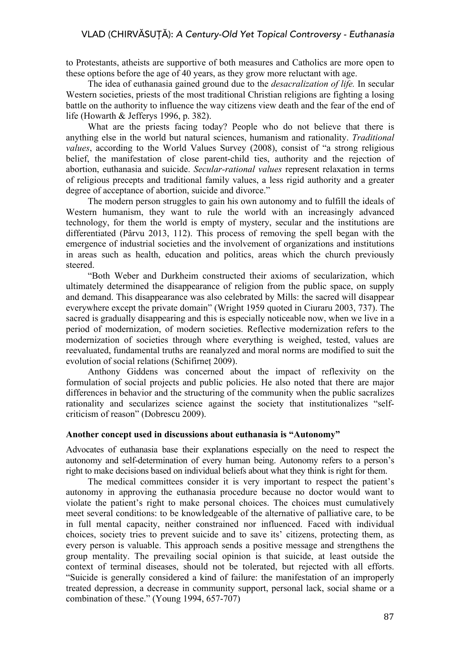to Protestants, atheists are supportive of both measures and Catholics are more open to these options before the age of 40 years, as they grow more reluctant with age.

The idea of euthanasia gained ground due to the *desacralization of life.* In secular Western societies, priests of the most traditional Christian religions are fighting a losing battle on the authority to influence the way citizens view death and the fear of the end of life (Howarth & Jefferys 1996, p. 382).

What are the priests facing today? People who do not believe that there is anything else in the world but natural sciences, humanism and rationality. *Traditional values*, according to the World Values Survey (2008), consist of "a strong religious belief, the manifestation of close parent-child ties, authority and the rejection of abortion, euthanasia and suicide. *Secular-rational values* represent relaxation in terms of religious precepts and traditional family values, a less rigid authority and a greater degree of acceptance of abortion, suicide and divorce."

The modern person struggles to gain his own autonomy and to fulfill the ideals of Western humanism, they want to rule the world with an increasingly advanced technology, for them the world is empty of mystery, secular and the institutions are differentiated (Pârvu 2013, 112). This process of removing the spell began with the emergence of industrial societies and the involvement of organizations and institutions in areas such as health, education and politics, areas which the church previously steered.

"Both Weber and Durkheim constructed their axioms of secularization, which ultimately determined the disappearance of religion from the public space, on supply and demand. This disappearance was also celebrated by Mills: the sacred will disappear everywhere except the private domain" (Wright 1959 quoted in Ciuraru 2003, 737). The sacred is gradually disappearing and this is especially noticeable now, when we live in a period of modernization, of modern societies. Reflective modernization refers to the modernization of societies through where everything is weighed, tested, values are reevaluated, fundamental truths are reanalyzed and moral norms are modified to suit the evolution of social relations (Schifirneț 2009).

Anthony Giddens was concerned about the impact of reflexivity on the formulation of social projects and public policies. He also noted that there are major differences in behavior and the structuring of the community when the public sacralizes rationality and secularizes science against the society that institutionalizes "selfcriticism of reason" (Dobrescu 2009).

## **Another concept used in discussions about euthanasia is "Autonomy"**

Advocates of euthanasia base their explanations especially on the need to respect the autonomy and self-determination of every human being. Autonomy refers to a person's right to make decisions based on individual beliefs about what they think is right for them.

The medical committees consider it is very important to respect the patient's autonomy in approving the euthanasia procedure because no doctor would want to violate the patient's right to make personal choices. The choices must cumulatively meet several conditions: to be knowledgeable of the alternative of palliative care, to be in full mental capacity, neither constrained nor influenced. Faced with individual choices, society tries to prevent suicide and to save its' citizens, protecting them, as every person is valuable. This approach sends a positive message and strengthens the group mentality. The prevailing social opinion is that suicide, at least outside the context of terminal diseases, should not be tolerated, but rejected with all efforts. "Suicide is generally considered a kind of failure: the manifestation of an improperly treated depression, a decrease in community support, personal lack, social shame or a combination of these." (Young 1994, 657-707)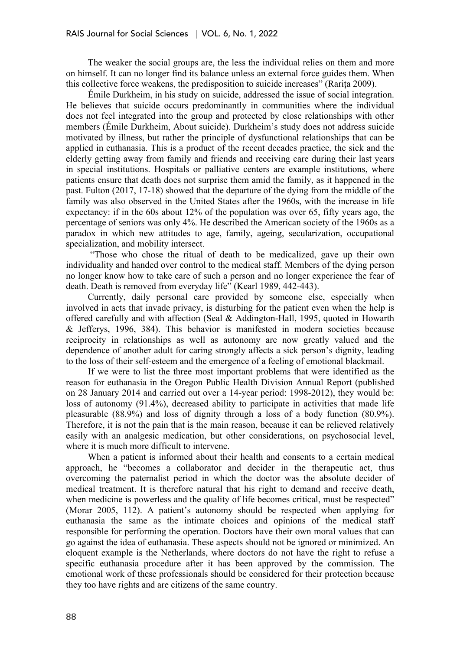The weaker the social groups are, the less the individual relies on them and more on himself. It can no longer find its balance unless an external force guides them. When this collective force weakens, the predisposition to suicide increases" (Rarița 2009).

Émile Durkheim, in his study on suicide, addressed the issue of social integration. He believes that suicide occurs predominantly in communities where the individual does not feel integrated into the group and protected by close relationships with other members (Émile Durkheim, About suicide). Durkheim's study does not address suicide motivated by illness, but rather the principle of dysfunctional relationships that can be applied in euthanasia. This is a product of the recent decades practice, the sick and the elderly getting away from family and friends and receiving care during their last years in special institutions. Hospitals or palliative centers are example institutions, where patients ensure that death does not surprise them amid the family, as it happened in the past. Fulton (2017, 17-18) showed that the departure of the dying from the middle of the family was also observed in the United States after the 1960s, with the increase in life expectancy: if in the 60s about 12% of the population was over 65, fifty years ago, the percentage of seniors was only 4%. He described the American society of the 1960s as a paradox in which new attitudes to age, family, ageing, secularization, occupational specialization, and mobility intersect.

"Those who chose the ritual of death to be medicalized, gave up their own individuality and handed over control to the medical staff. Members of the dying person no longer know how to take care of such a person and no longer experience the fear of death. Death is removed from everyday life" (Kearl 1989, 442-443).

Currently, daily personal care provided by someone else, especially when involved in acts that invade privacy, is disturbing for the patient even when the help is offered carefully and with affection (Seal & Addington-Hall, 1995, quoted in Howarth & Jefferys, 1996, 384). This behavior is manifested in modern societies because reciprocity in relationships as well as autonomy are now greatly valued and the dependence of another adult for caring strongly affects a sick person's dignity, leading to the loss of their self-esteem and the emergence of a feeling of emotional blackmail.

If we were to list the three most important problems that were identified as the reason for euthanasia in the Oregon Public Health Division Annual Report (published on 28 January 2014 and carried out over a 14-year period: 1998-2012), they would be: loss of autonomy (91.4%), decreased ability to participate in activities that made life pleasurable (88.9%) and loss of dignity through a loss of a body function (80.9%). Therefore, it is not the pain that is the main reason, because it can be relieved relatively easily with an analgesic medication, but other considerations, on psychosocial level, where it is much more difficult to intervene.

When a patient is informed about their health and consents to a certain medical approach, he "becomes a collaborator and decider in the therapeutic act, thus overcoming the paternalist period in which the doctor was the absolute decider of medical treatment. It is therefore natural that his right to demand and receive death, when medicine is powerless and the quality of life becomes critical, must be respected" (Morar 2005, 112). A patient's autonomy should be respected when applying for euthanasia the same as the intimate choices and opinions of the medical staff responsible for performing the operation. Doctors have their own moral values that can go against the idea of euthanasia. These aspects should not be ignored or minimized. An eloquent example is the Netherlands, where doctors do not have the right to refuse a specific euthanasia procedure after it has been approved by the commission. The emotional work of these professionals should be considered for their protection because they too have rights and are citizens of the same country.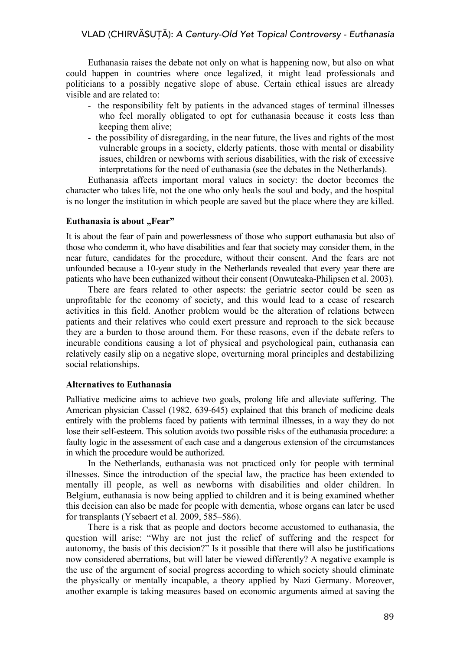Euthanasia raises the debate not only on what is happening now, but also on what could happen in countries where once legalized, it might lead professionals and politicians to a possibly negative slope of abuse. Certain ethical issues are already visible and are related to:

- the responsibility felt by patients in the advanced stages of terminal illnesses who feel morally obligated to opt for euthanasia because it costs less than keeping them alive;
- the possibility of disregarding, in the near future, the lives and rights of the most vulnerable groups in a society, elderly patients, those with mental or disability issues, children or newborns with serious disabilities, with the risk of excessive interpretations for the need of euthanasia (see the debates in the Netherlands).

Euthanasia affects important moral values in society: the doctor becomes the character who takes life, not the one who only heals the soul and body, and the hospital is no longer the institution in which people are saved but the place where they are killed.

### **Euthanasia is about "Fear"**

It is about the fear of pain and powerlessness of those who support euthanasia but also of those who condemn it, who have disabilities and fear that society may consider them, in the near future, candidates for the procedure, without their consent. And the fears are not unfounded because a 10-year study in the Netherlands revealed that every year there are patients who have been euthanized without their consent (Onwuteaka-Philipsen et al. 2003).

There are fears related to other aspects: the geriatric sector could be seen as unprofitable for the economy of society, and this would lead to a cease of research activities in this field. Another problem would be the alteration of relations between patients and their relatives who could exert pressure and reproach to the sick because they are a burden to those around them. For these reasons, even if the debate refers to incurable conditions causing a lot of physical and psychological pain, euthanasia can relatively easily slip on a negative slope, overturning moral principles and destabilizing social relationships.

## **Alternatives to Euthanasia**

Palliative medicine aims to achieve two goals, prolong life and alleviate suffering. The American physician Cassel (1982, 639-645) explained that this branch of medicine deals entirely with the problems faced by patients with terminal illnesses, in a way they do not lose their self-esteem. This solution avoids two possible risks of the euthanasia procedure: a faulty logic in the assessment of each case and a dangerous extension of the circumstances in which the procedure would be authorized.

In the Netherlands, euthanasia was not practiced only for people with terminal illnesses. Since the introduction of the special law, the practice has been extended to mentally ill people, as well as newborns with disabilities and older children. In Belgium, euthanasia is now being applied to children and it is being examined whether this decision can also be made for people with dementia, whose organs can later be used for transplants (Ysebaert et al. 2009, 585–586).

There is a risk that as people and doctors become accustomed to euthanasia, the question will arise: "Why are not just the relief of suffering and the respect for autonomy, the basis of this decision?" Is it possible that there will also be justifications now considered aberrations, but will later be viewed differently? A negative example is the use of the argument of social progress according to which society should eliminate the physically or mentally incapable, a theory applied by Nazi Germany. Moreover, another example is taking measures based on economic arguments aimed at saving the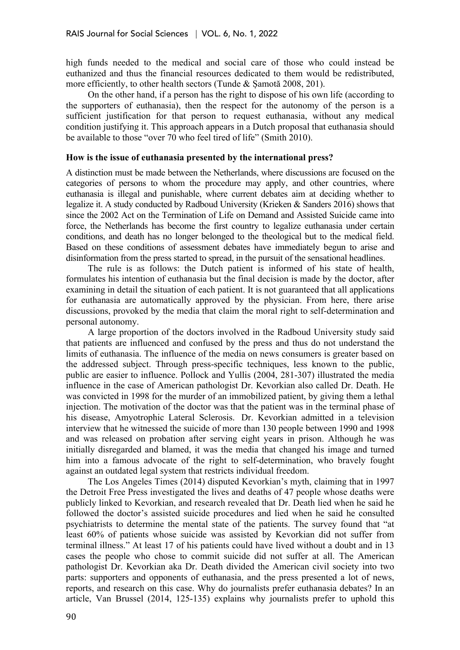high funds needed to the medical and social care of those who could instead be euthanized and thus the financial resources dedicated to them would be redistributed, more efficiently, to other health sectors (Tunde & Șamotă 2008, 201).

On the other hand, if a person has the right to dispose of his own life (according to the supporters of euthanasia), then the respect for the autonomy of the person is a sufficient justification for that person to request euthanasia, without any medical condition justifying it. This approach appears in a Dutch proposal that euthanasia should be available to those "over 70 who feel tired of life" (Smith 2010).

#### **How is the issue of euthanasia presented by the international press?**

A distinction must be made between the Netherlands, where discussions are focused on the categories of persons to whom the procedure may apply, and other countries, where euthanasia is illegal and punishable, where current debates aim at deciding whether to legalize it. A study conducted by Radboud University (Krieken & Sanders 2016) shows that since the 2002 Act on the Termination of Life on Demand and Assisted Suicide came into force, the Netherlands has become the first country to legalize euthanasia under certain conditions, and death has no longer belonged to the theological but to the medical field. Based on these conditions of assessment debates have immediately begun to arise and disinformation from the press started to spread, in the pursuit of the sensational headlines.

The rule is as follows: the Dutch patient is informed of his state of health, formulates his intention of euthanasia but the final decision is made by the doctor, after examining in detail the situation of each patient. It is not guaranteed that all applications for euthanasia are automatically approved by the physician. From here, there arise discussions, provoked by the media that claim the moral right to self-determination and personal autonomy.

A large proportion of the doctors involved in the Radboud University study said that patients are influenced and confused by the press and thus do not understand the limits of euthanasia. The influence of the media on news consumers is greater based on the addressed subject. Through press-specific techniques, less known to the public, public are easier to influence. Pollock and Yullis (2004, 281-307) illustrated the media influence in the case of American pathologist Dr. Kevorkian also called Dr. Death. He was convicted in 1998 for the murder of an immobilized patient, by giving them a lethal injection. The motivation of the doctor was that the patient was in the terminal phase of his disease, Amyotrophic Lateral Sclerosis. Dr. Kevorkian admitted in a television interview that he witnessed the suicide of more than 130 people between 1990 and 1998 and was released on probation after serving eight years in prison. Although he was initially disregarded and blamed, it was the media that changed his image and turned him into a famous advocate of the right to self-determination, who bravely fought against an outdated legal system that restricts individual freedom.

The Los Angeles Times (2014) disputed Kevorkian's myth, claiming that in 1997 the Detroit Free Press investigated the lives and deaths of 47 people whose deaths were publicly linked to Kevorkian, and research revealed that Dr. Death lied when he said he followed the doctor's assisted suicide procedures and lied when he said he consulted psychiatrists to determine the mental state of the patients. The survey found that "at least 60% of patients whose suicide was assisted by Kevorkian did not suffer from terminal illness." At least 17 of his patients could have lived without a doubt and in 13 cases the people who chose to commit suicide did not suffer at all. The American pathologist Dr. Kevorkian aka Dr. Death divided the American civil society into two parts: supporters and opponents of euthanasia, and the press presented a lot of news, reports, and research on this case. Why do journalists prefer euthanasia debates? In an article, Van Brussel (2014, 125-135) explains why journalists prefer to uphold this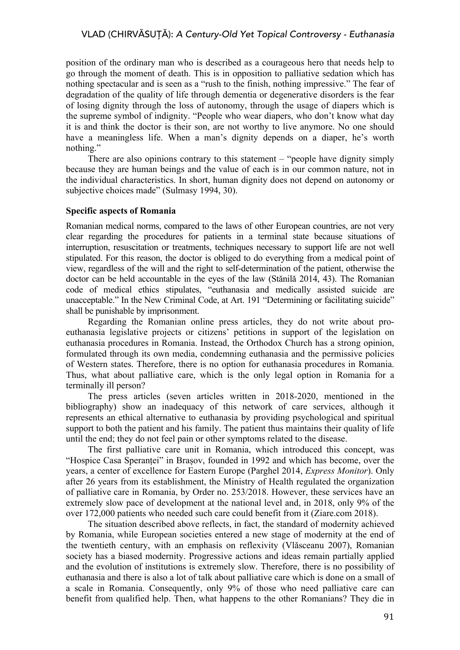position of the ordinary man who is described as a courageous hero that needs help to go through the moment of death. This is in opposition to palliative sedation which has nothing spectacular and is seen as a "rush to the finish, nothing impressive." The fear of degradation of the quality of life through dementia or degenerative disorders is the fear of losing dignity through the loss of autonomy, through the usage of diapers which is the supreme symbol of indignity. "People who wear diapers, who don't know what day it is and think the doctor is their son, are not worthy to live anymore. No one should have a meaningless life. When a man's dignity depends on a diaper, he's worth nothing."

There are also opinions contrary to this statement – "people have dignity simply because they are human beings and the value of each is in our common nature, not in the individual characteristics. In short, human dignity does not depend on autonomy or subjective choices made" (Sulmasy 1994, 30).

### **Specific aspects of Romania**

Romanian medical norms, compared to the laws of other European countries, are not very clear regarding the procedures for patients in a terminal state because situations of interruption, resuscitation or treatments, techniques necessary to support life are not well stipulated. For this reason, the doctor is obliged to do everything from a medical point of view, regardless of the will and the right to self-determination of the patient, otherwise the doctor can be held accountable in the eyes of the law (Stănilă 2014, 43). The Romanian code of medical ethics stipulates, "euthanasia and medically assisted suicide are unacceptable." In the New Criminal Code, at Art. 191 "Determining or facilitating suicide" shall be punishable by imprisonment.

Regarding the Romanian online press articles, they do not write about proeuthanasia legislative projects or citizens' petitions in support of the legislation on euthanasia procedures in Romania. Instead, the Orthodox Church has a strong opinion, formulated through its own media, condemning euthanasia and the permissive policies of Western states. Therefore, there is no option for euthanasia procedures in Romania. Thus, what about palliative care, which is the only legal option in Romania for a terminally ill person?

The press articles (seven articles written in 2018-2020, mentioned in the bibliography) show an inadequacy of this network of care services, although it represents an ethical alternative to euthanasia by providing psychological and spiritual support to both the patient and his family. The patient thus maintains their quality of life until the end; they do not feel pain or other symptoms related to the disease.

The first palliative care unit in Romania, which introduced this concept, was "Hospice Casa Speranței" in Brașov, founded in 1992 and which has become, over the years, a center of excellence for Eastern Europe (Parghel 2014, *Express Monitor*). Only after 26 years from its establishment, the Ministry of Health regulated the organization of palliative care in Romania, by Order no. 253/2018. However, these services have an extremely slow pace of development at the national level and, in 2018, only 9% of the over 172,000 patients who needed such care could benefit from it (Ziare.com 2018).

The situation described above reflects, in fact, the standard of modernity achieved by Romania, while European societies entered a new stage of modernity at the end of the twentieth century, with an emphasis on reflexivity (Vlăsceanu 2007), Romanian society has a biased modernity. Progressive actions and ideas remain partially applied and the evolution of institutions is extremely slow. Therefore, there is no possibility of euthanasia and there is also a lot of talk about palliative care which is done on a small of a scale in Romania. Consequently, only 9% of those who need palliative care can benefit from qualified help. Then, what happens to the other Romanians? They die in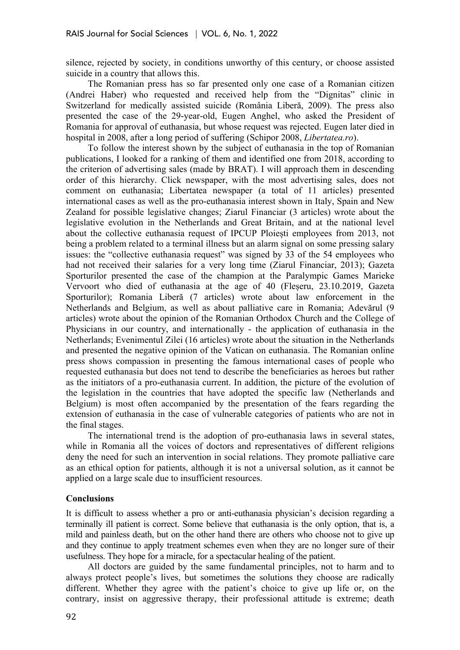silence, rejected by society, in conditions unworthy of this century, or choose assisted suicide in a country that allows this.

The Romanian press has so far presented only one case of a Romanian citizen (Andrei Haber) who requested and received help from the "Dignitas" clinic in Switzerland for medically assisted suicide (România Liberă, 2009). The press also presented the case of the 29-year-old, Eugen Anghel, who asked the President of Romania for approval of euthanasia, but whose request was rejected. Eugen later died in hospital in 2008, after a long period of suffering (Schipor 2008, *Libertatea.ro*).

To follow the interest shown by the subject of euthanasia in the top of Romanian publications, I looked for a ranking of them and identified one from 2018, according to the criterion of advertising sales (made by BRAT). I will approach them in descending order of this hierarchy. Click newspaper, with the most advertising sales, does not comment on euthanasia; Libertatea newspaper (a total of 11 articles) presented international cases as well as the pro-euthanasia interest shown in Italy, Spain and New Zealand for possible legislative changes; Ziarul Financiar (3 articles) wrote about the legislative evolution in the Netherlands and Great Britain, and at the national level about the collective euthanasia request of IPCUP Ploiești employees from 2013, not being a problem related to a terminal illness but an alarm signal on some pressing salary issues: the "collective euthanasia request" was signed by 33 of the 54 employees who had not received their salaries for a very long time (Ziarul Financiar, 2013); Gazeta Sporturilor presented the case of the champion at the Paralympic Games Marieke Vervoort who died of euthanasia at the age of 40 (Fleșeru, 23.10.2019, Gazeta Sporturilor); Romania Liberă (7 articles) wrote about law enforcement in the Netherlands and Belgium, as well as about palliative care in Romania; Adevărul (9 articles) wrote about the opinion of the Romanian Orthodox Church and the College of Physicians in our country, and internationally - the application of euthanasia in the Netherlands; Evenimentul Zilei (16 articles) wrote about the situation in the Netherlands and presented the negative opinion of the Vatican on euthanasia. The Romanian online press shows compassion in presenting the famous international cases of people who requested euthanasia but does not tend to describe the beneficiaries as heroes but rather as the initiators of a pro-euthanasia current. In addition, the picture of the evolution of the legislation in the countries that have adopted the specific law (Netherlands and Belgium) is most often accompanied by the presentation of the fears regarding the extension of euthanasia in the case of vulnerable categories of patients who are not in the final stages.

The international trend is the adoption of pro-euthanasia laws in several states, while in Romania all the voices of doctors and representatives of different religions deny the need for such an intervention in social relations. They promote palliative care as an ethical option for patients, although it is not a universal solution, as it cannot be applied on a large scale due to insufficient resources.

#### **Conclusions**

It is difficult to assess whether a pro or anti-euthanasia physician's decision regarding a terminally ill patient is correct. Some believe that euthanasia is the only option, that is, a mild and painless death, but on the other hand there are others who choose not to give up and they continue to apply treatment schemes even when they are no longer sure of their usefulness. They hope for a miracle, for a spectacular healing of the patient.

All doctors are guided by the same fundamental principles, not to harm and to always protect people's lives, but sometimes the solutions they choose are radically different. Whether they agree with the patient's choice to give up life or, on the contrary, insist on aggressive therapy, their professional attitude is extreme; death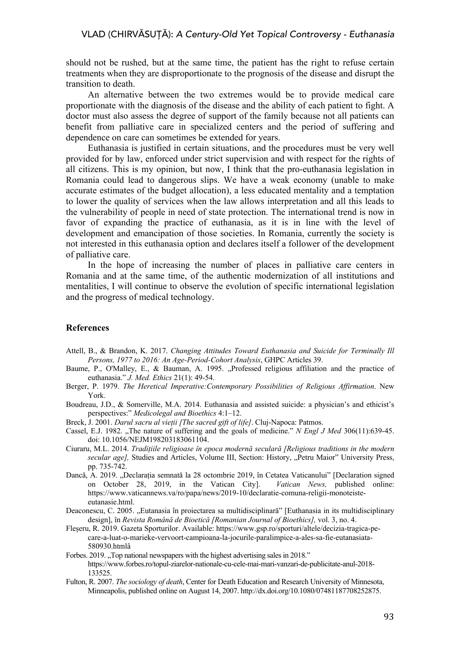should not be rushed, but at the same time, the patient has the right to refuse certain treatments when they are disproportionate to the prognosis of the disease and disrupt the transition to death.

An alternative between the two extremes would be to provide medical care proportionate with the diagnosis of the disease and the ability of each patient to fight. A doctor must also assess the degree of support of the family because not all patients can benefit from palliative care in specialized centers and the period of suffering and dependence on care can sometimes be extended for years.

Euthanasia is justified in certain situations, and the procedures must be very well provided for by law, enforced under strict supervision and with respect for the rights of all citizens. This is my opinion, but now, I think that the pro-euthanasia legislation in Romania could lead to dangerous slips. We have a weak economy (unable to make accurate estimates of the budget allocation), a less educated mentality and a temptation to lower the quality of services when the law allows interpretation and all this leads to the vulnerability of people in need of state protection. The international trend is now in favor of expanding the practice of euthanasia, as it is in line with the level of development and emancipation of those societies. In Romania, currently the society is not interested in this euthanasia option and declares itself a follower of the development of palliative care.

In the hope of increasing the number of places in palliative care centers in Romania and at the same time, of the authentic modernization of all institutions and mentalities, I will continue to observe the evolution of specific international legislation and the progress of medical technology.

#### **References**

- Attell, B., & Brandon, K. 2017. *Changing Attitudes Toward Euthanasia and Suicide for Terminally Ill Persons, 1977 to 2016: An Age-Period-Cohort Analysis*, GHPC Articles 39.
- Baume, P., O'Malley, E., & Bauman, A. 1995. "Professed religious affiliation and the practice of euthanasia." *J. Med. Ethics* 21(1): 49-54.
- Berger, P. 1979. *The Heretical Imperative:Contemporary Possibilities of Religious Affirmation*. New York.
- Boudreau, J.D., & Somerville, M.A. 2014. Euthanasia and assisted suicide: a physician's and ethicist's perspectives:" *Medicolegal and Bioethics* 4:1–12.
- Breck, J. 2001. *Darul sacru al vieții [The sacred gift of life]*. Cluj-Napoca: Patmos.
- Cassel, E.J. 1982. "The nature of suffering and the goals of medicine." *N Engl J Med* 306(11):639-45. doi: 10.1056/NEJM198203183061104.
- Ciuraru, M.L. 2014. *Tradițiile religioase în epoca modernă seculară [Religious traditions in the modern*  secular age], Studies and Articles, Volume III, Section: History, "Petru Maior" University Press, pp. 735-742.
- Dancă, A. 2019. "Declarația semnată la 28 octombrie 2019, în Cetatea Vaticanului" [Declaration signed on October 28, 2019, in the Vatican City]. *Vatican News,* published online: https://www.vaticannews.va/ro/papa/news/2019-10/declaratie-comuna-religii-monoteisteeutanasie.html.
- Deaconescu, C. 2005. "Eutanasia în proiectarea sa multidisciplinară" [Euthanasia in its multidisciplinary design], în *Revista Română de Bioetică [Romanian Journal of Bioethics],* vol. 3, no. 4.
- Fleșeru, R. 2019. Gazeta Sporturilor. Available: https://www.gsp.ro/sporturi/altele/decizia-tragica-pecare-a-luat-o-marieke-vervoort-campioana-la-jocurile-paralimpice-a-ales-sa-fie-eutanasiata-580930.htmlâ
- Forbes. 2019. "Top national newspapers with the highest advertising sales in 2018." https://www.forbes.ro/topul-ziarelor-nationale-cu-cele-mai-mari-vanzari-de-publicitate-anul-2018- 133525.
- Fulton, R. 2007. *The sociology of death*, Center for Death Education and Research University of Minnesota, Minneapolis, published online on August 14, 2007. http://dx.doi.org/10.1080/07481187708252875.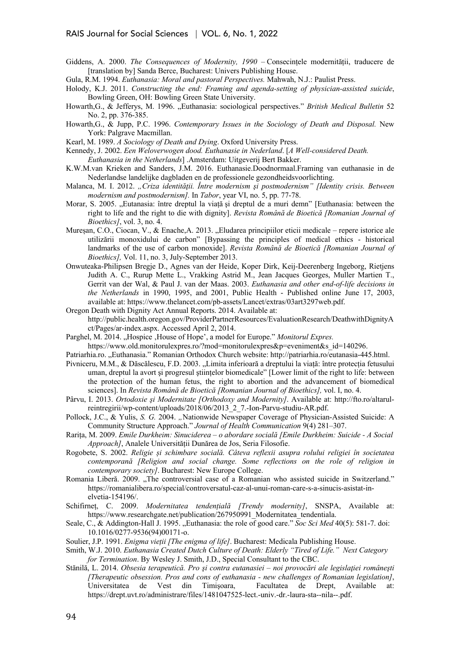- Giddens, A. 2000. *The Consequences of Modernity, 1990* Consecințele modernității, traducere de [translation by] Sanda Berce, Bucharest: Univers Publishing House.
- Gula, R.M. 1994. *Euthanasia: Moral and pastoral Perspectives.* Mahwah, N.J.: Paulist Press.
- Holody, K.J. 2011. *Constructing the end: Framing and agenda-setting of physician-assisted suicide*, Bowling Green, OH: Bowling Green State University.
- Howarth,G., & Jefferys, M. 1996. "Euthanasia: sociological perspectives." *British Medical Bulletin* 52 No. 2, pp. 376-385.
- Howarth,G., & Jupp, P.C. 1996. *Contemporary Issues in the Sociology of Death and Disposal.* New York: Palgrave Macmillan.
- Kearl, M. 1989. *A Sociology of Death and Dying*. Oxford University Press.
- Kennedy, J. 2002. *Een Weloverwogen dood. Euthanasie in Nederland*. [*A Well-considered Death. Euthanasia in the Netherlands*] .Amsterdam: Uitgeverij Bert Bakker.
- K.W.M.van Krieken and Sanders, J.M. 2016. Euthanasie.Doodnormaal.Framing van euthanasie in de Nederlandse landelijke dagbladen en de professionele gezondheidsvoorlichting.
- Malanca, M. I. 2012. *"Criza identităţii. Între modernism şi postmodernism" [Identity crisis. Between modernism and postmodernism].* In *Tabor*, year VI, no. 5, pp. 77-78.
- Morar, S. 2005. "Eutanasia: între dreptul la viață și dreptul de a muri demn" [Euthanasia: between the right to life and the right to die with dignity]. *Revista Română de Bioetică [Romanian Journal of Bioethics]*, vol. 3, no. 4.
- Mureșan, C.O., Ciocan, V., & Enache,A. 2013. "Eludarea principiilor eticii medicale repere istorice ale utilizării monoxidului de carbon" [Bypassing the principles of medical ethics - historical landmarks of the use of carbon monoxide]. *Revista Română de Bioetică [Romanian Journal of Bioethics],* Vol. 11, no. 3, July-September 2013.
- Onwuteaka-Philipsen Bregje D., Agnes van der Heide, Koper Dirk, Keij-Deerenberg Ingeborg, Rietjens Judith A. C., Rurup Mette L., Vrakking Astrid M., Jean Jacques Georges, Muller Martien T., Gerrit van der Wal, & Paul J. van der Maas. 2003. *Euthanasia and other end-of-life decisions in the Netherlands* in 1990, 1995, and 2001, Public Health - Published online June 17, 2003, available at: https://www.thelancet.com/pb-assets/Lancet/extras/03art3297web.pdf.
- Oregon Death with Dignity Act Annual Reports. 2014. Available at: http://public.health.oregon.gov/ProviderPartnerResources/EvaluationResearch/DeathwithDignityA ct/Pages/ar-index.aspx. Accessed April 2, 2014.
- Parghel, M. 2014. "Hospice .House of Hope', a model for Europe." *Monitorul Expres.* https://www.old.monitorulexpres.ro/?mod=monitorulexpres&p=eveniment&s\_id=140296.
- Patriarhia.ro. "Euthanasia." Romanian Orthodox Church website: http://patriarhia.ro/eutanasia-445.html.
- Pivniceru, M.M., & Dăscălescu, F.D. 2003. "Limita inferioară a dreptului la viață: între protecția fetusului uman, dreptul la avort şi progresul ştiințelor biomedicale" [Lower limit of the right to life: between the protection of the human fetus, the right to abortion and the advancement of biomedical sciences]. In *Revista Română de Bioetică [Romanian Journal of Bioethics],* vol. I, no. 4.
- Pârvu, I. 2013. *Ortodoxie şi Modernitate [Orthodoxy and Modernity]*. Available at: http://fto.ro/altarulreintregirii/wp-content/uploads/2018/06/2013\_2\_7.-Ion-Parvu-studiu-AR.pdf.
- Pollock, J.C., & Yulis, *S. G.* 2004. "Nationwide Newspaper Coverage of Physician-Assisted Suicide: A Community Structure Approach." *Journal of Health Communication* 9(4) 281–307.
- Rarița, M. 2009. *Emile Durkheim: Sinuciderea – o abordare socială [Emile Durkheim: Suicide - A Social Approach]*, Analele Universității Dunărea de Jos, Seria Filosofie.
- Rogobete, S. 2002. *Religie și schimbare socială. Câteva reflexii asupra rolului religiei în societatea contemporană [Religion and social change. Some reflections on the role of religion in contemporary society]*. Bucharest: New Europe College.
- Romania Liberă. 2009. "The controversial case of a Romanian who assisted suicide in Switzerland." https://romanialibera.ro/special/controversatul-caz-al-unui-roman-care-s-a-sinucis-asistat-inelvetia-154196/.
- Schifirneț, C. 2009. *Modernitatea tendențială [Trendy modernity]*, SNSPA, Available at: https://www.researchgate.net/publication/267950991\_Modernitatea\_tendentiala.
- Seale, C., & Addington-Hall J. 1995. "Euthanasia: the role of good care." *Soc Sci Med* 40(5): 581-7. doi: 10.1016/0277-9536(94)00171-o.
- Soulier, J.P. 1991. *Enigma vieții [The enigma of life]*. Bucharest: Medicala Publishing House.
- Smith, W.J. 2010. *Euthanasia Created Dutch Culture of Death: Elderly "Tired of Life." Next Category for Termination*. By Wesley J. Smith, J.D., Special Consultant to the CBC.
- Stănilă, L. 2014. *Obsesia terapeutică. Pro şi contra eutanasiei – noi provocări ale legislaţiei româneşti [Therapeutic obsession. Pros and cons of euthanasia - new challenges of Romanian legislation]*, Universitatea de Vest din Timişoara, Facultatea de Drept, Available at: https://drept.uvt.ro/administrare/files/1481047525-lect.-univ.-dr.-laura-sta--nila--.pdf.